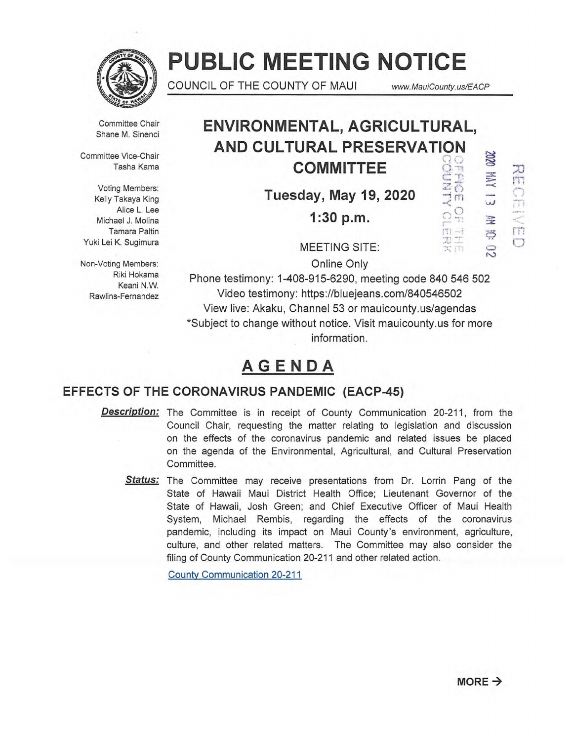

# **PUBLIC MEETING NOTICE**

COUNCIL OF THE COUNTY OF MAUI www.MauiCounty.us/EACP

Committee Chair Shane M. Sinenci

Committee Vice-Chair Tasha Kama

Voting Members: Kelly Takaya King Alice L. Lee Michael J. Molina Tamara Paltin Yuki Lei K. Sugimura

Non-Voting Members: Riki Hokama Keani N.W. Rawlins-Fernandez

# **ENVIRONMENTAL, AGRICULTURAL, AND CULTURAL PRESERVATION<br>COMMITTEE**<br>Tuesday, May 19, 2020 **COMMITTEE**

**Tuesday, May 19, 2020**  $\frac{128}{28}$ <br>**1:30 p.m.**  $\frac{68}{28}$ 

 $\tilde{c}$ 

R  $\Rightarrow$ 

œ

RECEIVED

MEETING SITE:

**1:30 p.m.** 

Online Only

Phone testimony: 1-408-915-6290, meeting code 840 546 502 Video testimony: https://bluejeans.com/840546502 View live: Akaku, Channel 53 or mauicounty.us/agendas \*Subject to change without notice. Visit mauicounty.usfor more information.

# **AGENDA**

### **EFFECTS OF THE CORONAVIRUS PANDEMIC (EACP-45)**

**Description:**  The Committee is in receipt of County Communication 20-211, from the Council Chair, requesting the matter relating to legislation and discussion on the effects of the coronavirus pandemic and related issues be placed on the agenda of the Environmental, Agricultural, and Cultural Preservation Committee.

**Status:**  The Committee may receive presentations from Dr. Lorrin Pang of the State of Hawaii Maui District Health Office; Lieutenant Governor of the State of Hawaii, Josh Green; and Chief Executive Officer of Maui Health System, Michael Rembis, regarding the effects of the coronavirus pandemic, including its impact on Maui County's environment, agriculture, culture, and other related matters. The Committee may also consider the filing of County Communication 20-211 and other related action.

County Communication 20-211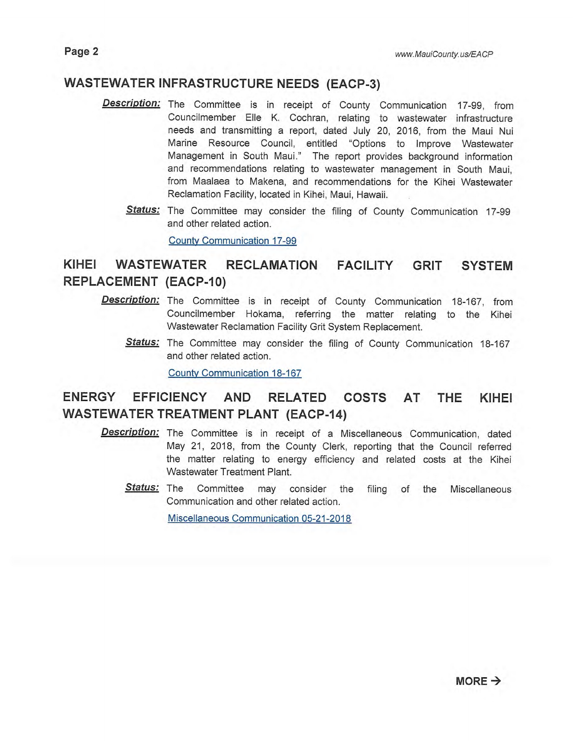### **WASTEWATER INFRASTRUCTURE NEEDS (EACP-3)**

- **Description:**  The Committee is in receipt of County Communication 17-99, from Councilmember Elle K. Cochran, relating to wastewater infrastructure needs and transmitting a report, dated July 20, 2016, from the Maui Nui Marine Resource Council, entitled "Options to Improve Wastewater Management in South Maui." The report provides background information and recommendations relating to wastewater management in South Maui, from Maalaea to Makena, and recommendations for the Kihei Wastewater Reclamation Facility, located in Kihei, Maui, Hawaii.
	- **Status:**  The Committee may consider the filing of County Communication 17-99 and other related action.

County Communication 17-99

## **KIHEI WASTEWATER RECLAMATION FACILITY GRIT SYSTEM REPLACEMENT (EACP-10)**

- **Description:** The Committee is in receipt of County Communication 18-167, from Councilmember Hokama, referring the matter relating to the Kihei Wastewater Reclamation Facility Grit System Replacement.
	- **Status:** The Committee may consider the filing of County Communication 18-167 and other related action.

County Communication 18-167

## **ENERGY EFFICIENCY AND RELATED COSTS AT THE KIHEI WASTEWATER TREATMENT PLANT (EACP-14)**

- **Description:** The Committee is in receipt of a Miscellaneous Communication, dated May 21, 2018, from the County Clerk, reporting that the Council referred the matter relating to energy efficiency and related costs at the Kihei Wastewater Treatment Plant.
	- **Status:** The Committee may consider the filing of the Miscellaneous Communication and other related action.

Miscellaneous Communication 05-21-2018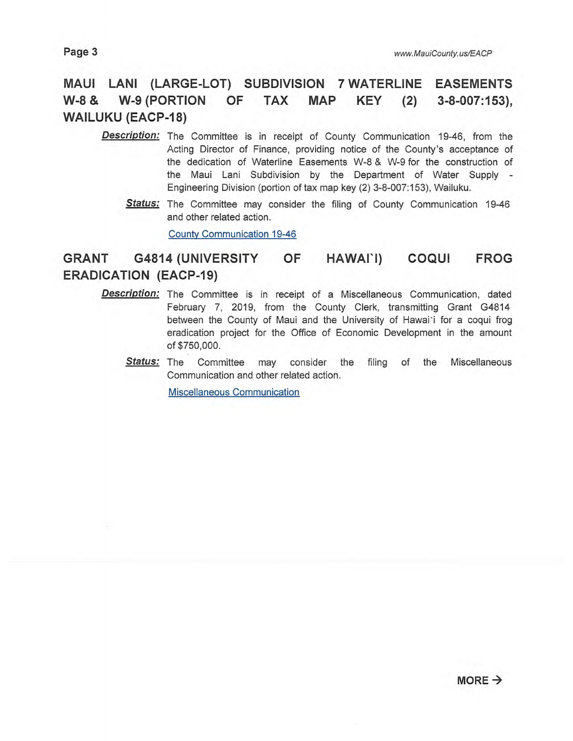## **MAUI LANI (LARGE-LOT) SUBDIVISION 7 WATERLINE EASEMENTS W-8 & W-9 (PORTION OF TAX MAP KEY (2) 3-8-007:153), WAILUKU (EACP-18)**

- **Description:** The Committee is in receipt of County Communication 19-46, from the Acting Director of Finance, providing notice of the County's acceptance of the dedication of Waterline Easements W-8 & W-9 for the construction of the Maui Lani Subdivision by the Department of Water Supply - Engineering Division (portion of tax map key (2) 3-8-007:153), Wailuku.
	- **Status:** The Committee may consider the filing of County Communication 19-46 and other related action.

County Communication 19-46

## **GRANT G4814 (UNIVERSITY OF HAWAII) COQUI FROG ERADICATION (EACP-19)**

- **Description:**  The Committee is in receipt of a Miscellaneous Communication, dated February 7, 2019, from the County Clerk, transmitting Grant G4814 between the County of Maui and the University of Hawai'i for a coqui frog eradication project for the Office of Economic Development in the amount of \$750,000.
	- Status: The Committee may consider the filing of the Miscellaneous Communication and other related action.

Miscellaneous Communication